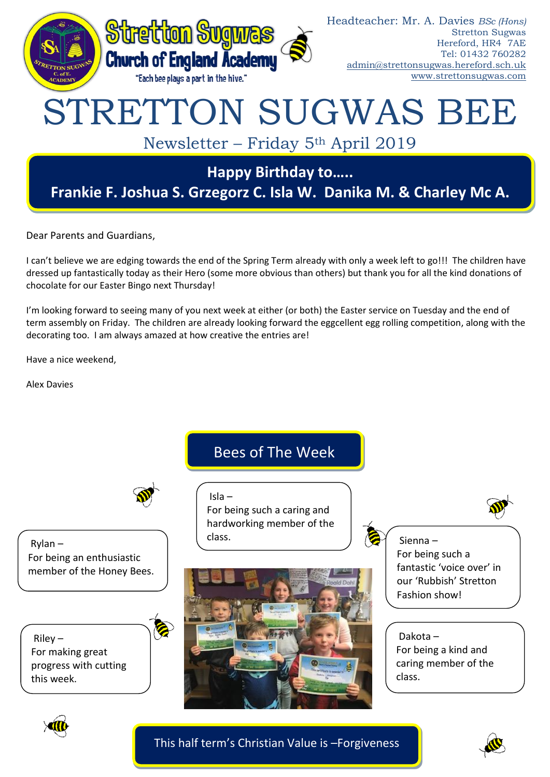

Dear Parents and Guardians,

I can't believe we are edging towards the end of the Spring Term already with only a week left to go!!! The children have dressed up fantastically today as their Hero (some more obvious than others) but thank you for all the kind donations of chocolate for our Easter Bingo next Thursday!

I'm looking forward to seeing many of you next week at either (or both) the Easter service on Tuesday and the end of term assembly on Friday. The children are already looking forward the eggcellent egg rolling competition, along with the decorating too. I am always amazed at how creative the entries are!

Have a nice weekend,

Alex Davies





This half term's Christian Value is –Forgiveness